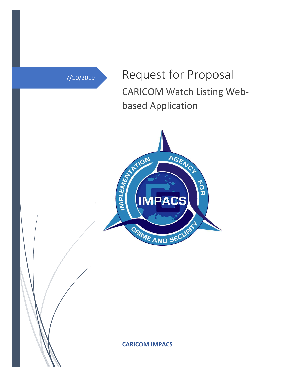7/10/2019 Request for Proposal CARICOM Watch Listing Webbased Application



**CARICOM IMPACS**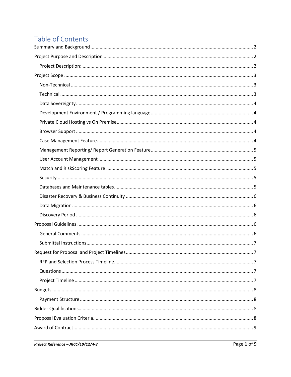# Table of Contents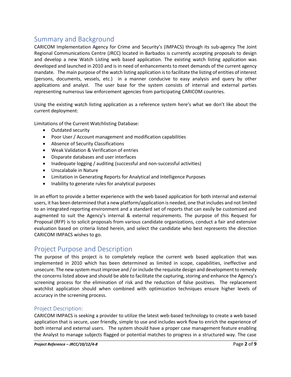# <span id="page-2-0"></span>Summary and Background

CARICOM Implementation Agency for Crime and Security's (IMPACS) through its sub-agency The Joint Regional Communications Centre (JRCC) located in Barbados is currently accepting proposals to design and develop a new Watch Listing web based application. The existing watch listing application was developed and launched in 2010 and is in need of enhancements to meet demands of the current agency mandate. The main purpose of the watch listing application is to facilitate the listing of entities of interest (persons, documents, vessels, etc.) in a manner conducive to easy analysis and query by other applications and analyst. The user base for the system consists of internal and external parties representing numerous law enforcement agencies from participating CARICOM countries.

Using the existing watch listing application as a reference system here's what we don't like about the current deployment:

Limitations of the Current Watchlisting Database:

- Outdated security
- Poor User / Account management and modification capabilities
- Absence of Security Classifications
- Weak Validation & Verification of entries
- Disparate databases and user interfaces
- Inadequate logging / auditing (successful and non-successful activities)
- Unscalabale in Nature
- Limitation in Generating Reports for Analytical and Intelligence Purposes
- Inability to generate rules for analytical purposes

In an effort to provide a better experience with the web based application for both internal and external users, it has been determined that a new platform/application is needed, one that includes and not limited to an integrated reporting environment and a standard set of reports that can easily be customized and augmented to suit the Agency's internal & external requirements. The purpose of this Request for Proposal (RFP) is to solicit proposals from various candidate organizations, conduct a fair and extensive evaluation based on criteria listed herein, and select the candidate who best represents the direction CARICOM IMPACS wishes to go.

# <span id="page-2-1"></span>Project Purpose and Description

The purpose of this project is to completely replace the current web based application that was implemented in 2010 which has been determined as limited in scope, capabilities, ineffective and unsecure. The new system must improve and / or include the requisite design and development to remedy the concerns listed above and should be able to facilitate the capturing, storing and enhance the Agency's screening process for the elimination of risk and the reduction of false positives. The replacement watchlist application should when combined with optimization techniques ensure higher levels of accuracy in the screening process.

# <span id="page-2-2"></span>Project Description:

CARICOM IMPACS is seeking a provider to utilize the latest web-based technology to create a web based application that is secure, user friendly, simple to use and includes work flow to enrich the experience of both internal and external users. The system should have a proper case management feature enabling the Analyst to manage subjects flagged or potential matches to progress in a structured way. The case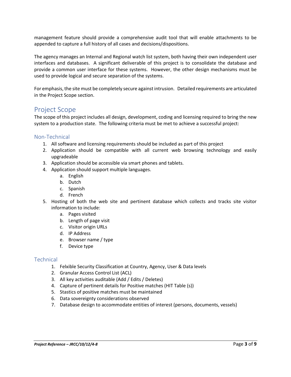management feature should provide a comprehensive audit tool that will enable attachments to be appended to capture a full history of all cases and decisions/dispositions.

The agency manages an Internal and Regional watch list system, both having their own independent user interfaces and databases. A significant deliverable of this project is to consolidate the database and provide a common user interface for these systems. However, the other design mechanisms must be used to provide logical and secure separation of the systems.

For emphasis, the site must be completely secure against intrusion. Detailed requirements are articulated in the Project Scope section.

# <span id="page-3-0"></span>Project Scope

The scope of this project includes all design, development, coding and licensing required to bring the new system to a production state. The following criteria must be met to achieve a successful project:

# <span id="page-3-1"></span>Non-Technical

- 1. All software and licensing requirements should be included as part of this project
- 2. Application should be compatible with all current web browsing technology and easily upgradeable
- 3. Application should be accessible via smart phones and tablets.
- 4. Application should support multiple languages.
	- a. English
	- b. Dutch
	- c. Spanish
	- d. French
- 5. Hosting of both the web site and pertinent database which collects and tracks site visitor information to include:
	- a. Pages visited
	- b. Length of page visit
	- c. Visitor origin URLs
	- d. IP Address
	- e. Browser name / type
	- f. Device type

# <span id="page-3-2"></span>**Technical**

- 1. Felxible Security Classification at Country, Agency, User & Data levels
- 2. Granular Access Control List (ACL)
- 3. All key activities auditable (Add / Edits / Deletes)
- 4. Capture of pertinent details for Positive matches (HIT Table (s))
- 5. Stastics of positive matches must be maintained
- 6. Data sovereignty considerations observed
- 7. Database design to accommodate entities of interest (persons, documents, vessels)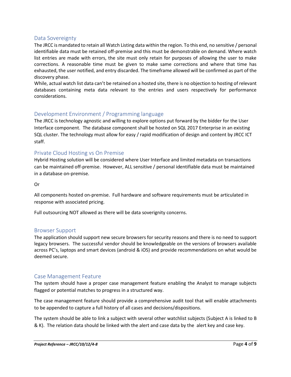# <span id="page-4-0"></span>Data Sovereignty

The JRCC is mandated to retain all Watch Listing data within the region. To this end, no sensitive / personal identifiable data must be retained off-premise and this must be demonstrable on demand. Where watch list entries are made with errors, the site must only retain for purposes of allowing the user to make corrections. A reasonable time must be given to make same corrections and where that time has exhausted, the user notified, and entry discarded. The timeframe allowed will be confirmed as part of the discovery phase.

While, actual watch list data can't be retained on a hosted site, there is no objection to hosting of relevant databases containing meta data relevant to the entries and users respectively for performance considerations.

# <span id="page-4-1"></span>Development Environment / Programming language

The JRCC is technology agnostic and willing to explore options put forward by the bidder for the User Interface component. The database component shall be hosted on SQL 2017 Enterprise in an existing SQL cluster. The technology must allow for easy / rapid modification of design and content by JRCC ICT staff.

# <span id="page-4-2"></span>Private Cloud Hosting vs On Premise

Hybrid Hosting solution will be considered where User Interface and limited metadata on transactions can be maintained off-premise. However, ALL sensitive / personal identifiable data must be maintained in a database on-premise.

#### Or

All components hosted on-premise. Full hardware and software requirements must be articulated in response with associated pricing.

Full outsourcing NOT allowed as there will be data soverignity concerns.

#### <span id="page-4-3"></span>Browser Support

The application should support new secure browsers for security reasons and there is no need to support legacy browsers. The successful vendor should be knowledgeable on the versions of browsers available across PC's, laptops and smart devices (android & iOS) and provide recommendations on what would be deemed secure.

# <span id="page-4-4"></span>Case Management Feature

The system should have a proper case management feature enabling the Analyst to manage subjects flagged or potential matches to progress in a structured way.

The case management feature should provide a comprehensive audit tool that will enable attachments to be appended to capture a full history of all cases and decisions/dispositions.

The system should be able to link a subject with several other watchlist subjects (Subject A is linked to B & K). The relation data should be linked with the alert and case data by the alert key and case key.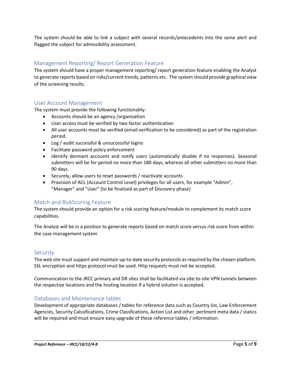The system should be able to link a subject with several records/antecedents into the same alert and flagged the subject for admissibility assessment.

# <span id="page-5-0"></span>Management Reporting/ Report Generation Feature

The system should have a proper management reporting/ report generation feature enabling the Analyst to generate reports based on risks/current trends, patterns etc. The system should provide graphical view of the screening results.

# <span id="page-5-1"></span>User Account Management

The system must provide the following functionality:

- Accounts should be an agency /organization
- User access must be verified by two factor authentication
- All user accounts must be verified (email verification to be considered) as part of the registration period.
- Log / audit successful & unsuccessful logins
- Facilitate password policy enforcement
- Identify dormant accounts and notify users (automatically disable if no responses). Seasonal submitters will be for period no more than 180 days, whereas all other submitters no more than 90 days.
- Securely, allow users to reset passwords / reactivate accounts
- Provision of ACL (Account Control Level) privileges for all users, for example "Admin", "Manager" and "User" (to be finalized as part of Discovery phase)

# <span id="page-5-2"></span>Match and RiskScoring Feature

The system should provide an option for a risk scoring feature/module to complement its match score capabilities.

The Analyst will be in a position to generate reports based on match score versus risk score from within the case management system

# <span id="page-5-3"></span>**Security**

The web site must support and maintain up-to-date security protocols as required by the chosen platform. SSL encryption and https protocol must be used. Http requests must not be accepted.

Communication to the JRCC primary and DR sites shall be facilitated via site-to-site VPN tunnels between the respective locations and the hosting location if a hybrid solution is accepted.

#### <span id="page-5-4"></span>Databases and Maintenance tables

Development of appropriate databases / tables for reference data such as Country list, Law Enforcement Agencies, Security Calssifications, Crime Classfications, Action List and other pertinent meta data / statics will be required and must ensure easy upgrade of these reference tables / information.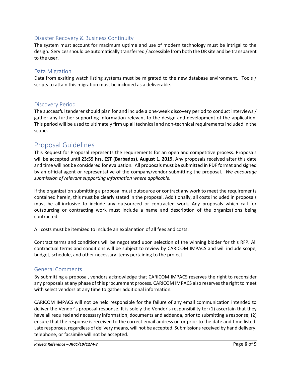# <span id="page-6-0"></span>Disaster Recovery & Business Continuity

The system must account for maximum uptime and use of modern technology must be intrigal to the design. Services should be automatically transferred / accessible from both the DR site and be transparent to the user.

### <span id="page-6-1"></span>Data Migration

Data from exsiting watch listing systems must be migrated to the new database environment. Tools / scripts to attain this migration must be included as a deliverable.

# <span id="page-6-2"></span>Discovery Period

The successful tenderer should plan for and include a one-week discovery period to conduct interviews / gather any further supporting information relevant to the design and development of the application. This period will be used to ultimately firm up all technical and non-technical requirements included in the scope.

# <span id="page-6-3"></span>Proposal Guidelines

This Request for Proposal represents the requirements for an open and competitive process. Proposals will be accepted until **23:59 hrs. EST (Barbados), August 1, 2019.** Any proposals received after this date and time will not be considered for evaluation. All proposals must be submitted in PDF format and signed by an official agent or representative of the company/vendor submitting the proposal. *We encourage submission of relevant supporting information where applicable.*

If the organization submitting a proposal must outsource or contract any work to meet the requirements contained herein, this must be clearly stated in the proposal. Additionally, all costs included in proposals must be all-inclusive to include any outsourced or contracted work. Any proposals which call for outsourcing or contracting work must include a name and description of the organizations being contracted.

All costs must be itemized to include an explanation of all fees and costs.

Contract terms and conditions will be negotiated upon selection of the winning bidder for this RFP. All contractual terms and conditions will be subject to review by CARICOM IMPACS and will include scope, budget, schedule, and other necessary items pertaining to the project.

# <span id="page-6-4"></span>General Comments

By submitting a proposal, vendors acknowledge that CARICOM IMPACS reserves the right to reconsider any proposals at any phase of this procurement process. CARICOM IMPACS also reserves the right to meet with select vendors at any time to gather additional information.

CARICOM IMPACS will not be held responsible for the failure of any email communication intended to deliver the Vendor's proposal response. It is solely the Vendor's responsibility to: (1) ascertain that they have all required and necessary information, documents and addenda, prior to submitting a response; (2) ensure that the response is received to the correct email address on or prior to the date and time listed. Late responses, regardless of delivery means, will not be accepted. Submissions received by hand delivery, telephone, or facsimile will not be accepted.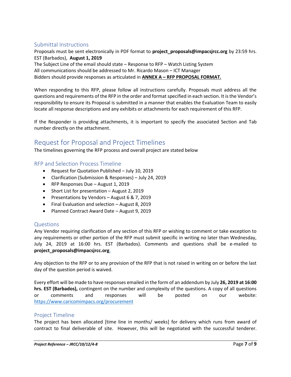# <span id="page-7-0"></span>Submittal Instructions

Proposals must be sent electronically in PDF format to **project\_proposals@impacsjrcc.org** by 23:59 hrs. EST (Barbados), **August 1, 2019**

The Subject Line of the email should state – Response to RFP – Watch Listing System All communications should be addressed to Mr. Ricardo Mason – ICT Manager Bidders should provide responses as articulated in **ANNEX A – RFP PROPOSAL FORMAT.**

When responding to this RFP, please follow all instructions carefully. Proposals must address all the questions and requirements of the RFP in the order and format specified in each section. It is the Vendor's responsibility to ensure its Proposal is submitted in a manner that enables the Evaluation Team to easily locate all response descriptions and any exhibits or attachments for each requirement of this RFP.

If the Responder is providing attachments, it is important to specify the associated Section and Tab number directly on the attachment.

# <span id="page-7-1"></span>Request for Proposal and Project Timelines

The timelines governing the RFP process and overall project are stated below

# <span id="page-7-2"></span>RFP and Selection Process Timeline

- Request for Quotation Published July 10, 2019
- Clarification (Submission & Responses) July 24, 2019
- RFP Responses Due August 1, 2019
- Short List for presentation August 2, 2019
- Presentations by Vendors August 6 & 7, 2019
- Final Evaluation and selection August 8, 2019
- Planned Contract Award Date August 9, 2019

# <span id="page-7-3"></span>Questions

Any Vendor requiring clarification of any section of this RFP or wishing to comment or take exception to any requirements or other portion of the RFP must submit specific in writing no later than Wednesday, July 24, 2019 at 16:00 hrs. EST (Barbados). Comments and questions shall be e-mailed to **project\_proposals@impacsjrcc.org**.

Any objection to the RFP or to any provision of the RFP that is not raised in writing on or before the last day of the question period is waived.

Every effort will be made to have responses emailed in the form of an addendum by July **26, 2019 at 16:00 hrs. EST (Barbados),** contingent on the number and complexity of the questions. A copy of all questions or comments and responses will be posted on our website: <https://www.caricomimpacs.org/procurement>

# <span id="page-7-4"></span>Project Timeline

The project has been allocated [time line in months/ weeks] for delivery which runs from award of contract to final deliverable of site. However, this will be negotiated with the successful tenderer.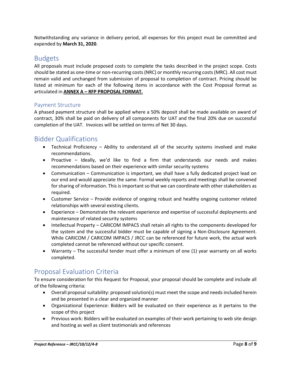Notwithstanding any variance in delivery period, all expenses for this project must be committed and expended by **March 31, 2020**.

# <span id="page-8-0"></span>Budgets

All proposals must include proposed costs to complete the tasks described in the project scope. Costs should be stated as one-time or non-recurring costs (NRC) or monthly recurring costs (MRC). All cost must remain valid and unchanged from submission of proposal to completion of contract. Pricing should be listed at minimum for each of the following items in accordance with the Cost Proposal format as articulated in **ANNEX A – RFP PROPOSAL FORMAT.**

# <span id="page-8-1"></span>Payment Structure

A phased payment structure shall be applied where a 50% deposit shall be made available on award of contract, 30% shall be paid on delivery of all components for UAT and the final 20% due on successful completion of the UAT. Invoices will be settled on terms of Net 30 days.

# <span id="page-8-2"></span>Bidder Qualifications

- Technical Proficiency Ability to understand all of the security systems involved and make recommendations.
- Proactive Ideally, we'd like to find a firm that understands our needs and makes recommendations based on their experience with similar security systems
- Communication Communication is important, we shall have a fully dedicated project lead on our end and would appreciate the same. Formal weekly reports and meetings shall be convened for sharing of information. This is important so that we can coordinate with other stakeholders as required.
- Customer Service Provide evidence of ongoing robust and healthy ongoing customer related relationships with several existing clients.
- Experience Demonstrate the relevant experience and expertise of successful deployments and maintenance of related security systems
- Intellectual Property CARICOM IMPACS shall retain all rights to the components developed for the system and the successful bidder must be capable of signing a Non-Disclosure Agreement. While CARICOM / CARICOM IMPACS / JRCC can be referenced for future work, the actual work completed cannot be referenced without our specific consent.
- Warranty The successful tender must offer a minimum of one (1) year warranty on all works completed.

# <span id="page-8-3"></span>Proposal Evaluation Criteria

To ensure consideration for this Request for Proposal, your proposal should be complete and include all of the following criteria:

- Overall proposal suitability: proposed solution(s) must meet the scope and needs included herein and be presented in a clear and organized manner
- Organizational Experience: Bidders will be evaluated on their experience as it pertains to the scope of this project
- Previous work: Bidders will be evaluated on examples of their work pertaining to web site design and hosting as well as client testimonials and references